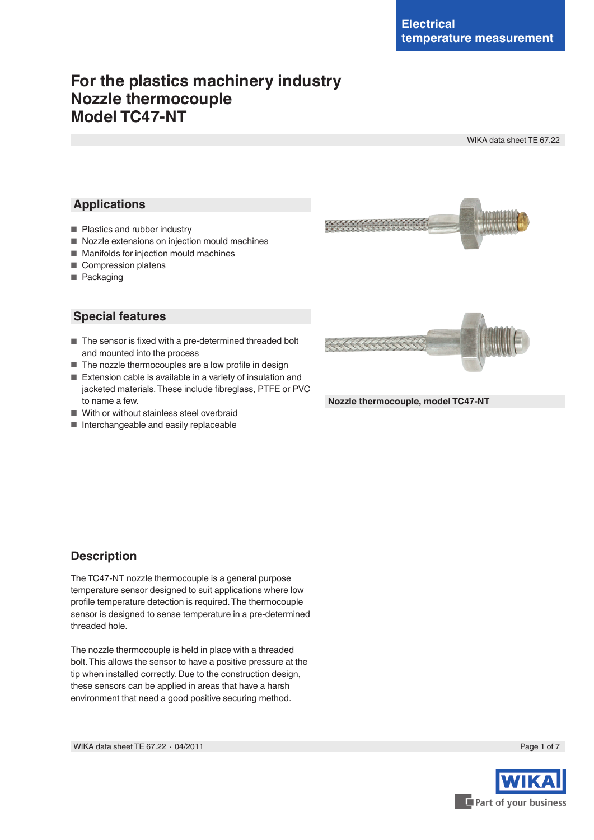# **For the plastics machinery industry Nozzle thermocouple Model TC47-NT**

WIKA data sheet TE 67.22

# **Applications**

- Plastics and rubber industry
- Nozzle extensions on injection mould machines
- Manifolds for injection mould machines
- Compression platens
- Packaging

# **Special features**

- The sensor is fixed with a pre-determined threaded bolt and mounted into the process
- The nozzle thermocouples are a low profile in design
- Extension cable is available in a variety of insulation and jacketed materials.These include fibreglass, PTFE or PVC to name a few.
- With or without stainless steel overbraid
- Interchangeable and easily replaceable



**Nozzle thermocouple, model TC47-NT**

## **Description**

The TC47-NT nozzle thermocouple is a general purpose temperature sensor designed to suit applications where low profile temperature detection is required.The thermocouple sensor is designed to sense temperature in a pre-determined threaded hole.

The nozzle thermocouple is held in place with a threaded bolt.This allows the sensor to have a positive pressure at the tip when installed correctly. Due to the construction design, these sensors can be applied in areas that have a harsh environment that need a good positive securing method.

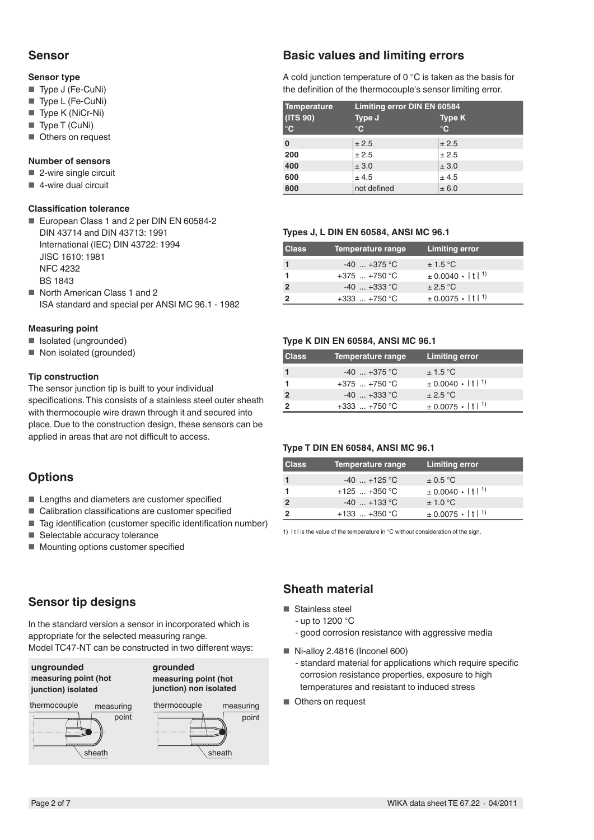# **Sensor**

## **Sensor type**

- Type J (Fe-CuNi)
- Type L (Fe-CuNi)
- Type K (NiCr-Ni)
- Type T (CuNi)
- Others on request

## **Number of sensors**

- 2-wire single circuit
- 4-wire dual circuit

#### **Classification tolerance**

- European Class 1 and 2 per DIN EN 60584-2 DIN 43714 and DIN 43713: 1991 International (IEC) DIN 43722: 1994 JISC 1610: 1981 NFC 4232 BS 1843
- North American Class 1 and 2 ISA standard and special per ANSI MC 96.1 - 1982

## **Measuring point**

- Isolated (ungrounded)
- Non isolated (grounded)

## **Tip construction**

The sensor junction tip is built to your individual specifications.This consists of a stainless steel outer sheath with thermocouple wire drawn through it and secured into place. Due to the construction design, these sensors can be applied in areas that are not difficult to access.

# **Options**

- Lengths and diameters are customer specified
- Calibration classifications are customer specified
- Tag identification (customer specific identification number)
- Selectable accuracy tolerance
- Mounting options customer specified

# **Sensor tip designs**

In the standard version a sensor in incorporated which is appropriate for the selected measuring range. Model TC47-NT can be constructed in two different ways:

**ungrounded measuring point (hot junction) isolated**

#### **grounded measuring point (hot junction) non isolated**





# **Basic values and limiting errors**

A cold junction temperature of 0 °C is taken as the basis for the definition of the thermocouple's sensor limiting error.

| Temperature       | Limiting error DIN EN 60584 |               |  |  |
|-------------------|-----------------------------|---------------|--|--|
| (TS 90)           | Type J                      | <b>Type K</b> |  |  |
| $^\circ \text{C}$ | $\mathbf{C}$                | $^{\circ}$ C  |  |  |
| 0                 | ± 2.5                       | ± 2.5         |  |  |
| 200               | ± 2.5                       | ± 2.5         |  |  |
| 400               | ± 3.0                       | ± 3.0         |  |  |
| 600               | ± 4.5                       | ± 4.5         |  |  |
| 800               | not defined                 | ± 6.0         |  |  |

## **Types J, L DIN EN 60584, ANSI MC 96.1**

| <b>Class</b> | Temperature range | <b>Limiting error</b>                   |
|--------------|-------------------|-----------------------------------------|
|              | $-40$ $+375$ °C   | $\pm$ 1.5 °C                            |
|              | $+375$ $+750$ °C  | $\pm 0.0040 \cdot  t ^{1}$              |
|              | $-40$ $+333$ °C   | $\pm 2.5$ °C                            |
|              | $+333$ $+750$ °C  | $\pm$ 0.0075 $\cdot$   t  <sup>1)</sup> |

## **Type K DIN EN 60584, ANSI MC 96.1**

| <b>Class</b>   | Temperature range | <b>Limiting error</b>                   |
|----------------|-------------------|-----------------------------------------|
|                | $-40$ $+375$ °C   | $\pm$ 1.5 °C                            |
|                | $+375$ $+750$ °C  | $\pm$ 0.0040 $\cdot$   t  <sup>1)</sup> |
| $\overline{2}$ | $-40$ $+333$ °C   | $\pm 2.5$ °C                            |
| 2              | $+333$ $+750$ °C  | $\pm$ 0.0075 $\cdot$   t  <sup>1)</sup> |

## **Type T DIN EN 60584, ANSI MC 96.1**

| <b>Class</b> | Temperature range | <b>Limiting error</b>                   |
|--------------|-------------------|-----------------------------------------|
|              | $-40$ $+125$ °C   | $\pm$ 0.5 °C                            |
|              | $+125$ $+350$ °C  | $\pm 0.0040 \cdot  t ^{1}$              |
|              | $-40$ +133 °C     | $\pm$ 1.0 °C                            |
|              | $+133$ $+350$ °C  | $\pm$ 0.0075 $\cdot$   t  <sup>1)</sup> |

1) It I is the value of the temperature in °C without consideration of the sign.

# **Sheath material**

- Stainless steel
	- up to 1200 °C
	- good corrosion resistance with aggressive media
- $\blacksquare$  Ni-alloy 2.4816 (Inconel 600)
	- standard material for applications which require specific corrosion resistance properties, exposure to high temperatures and resistant to induced stress
- Others on request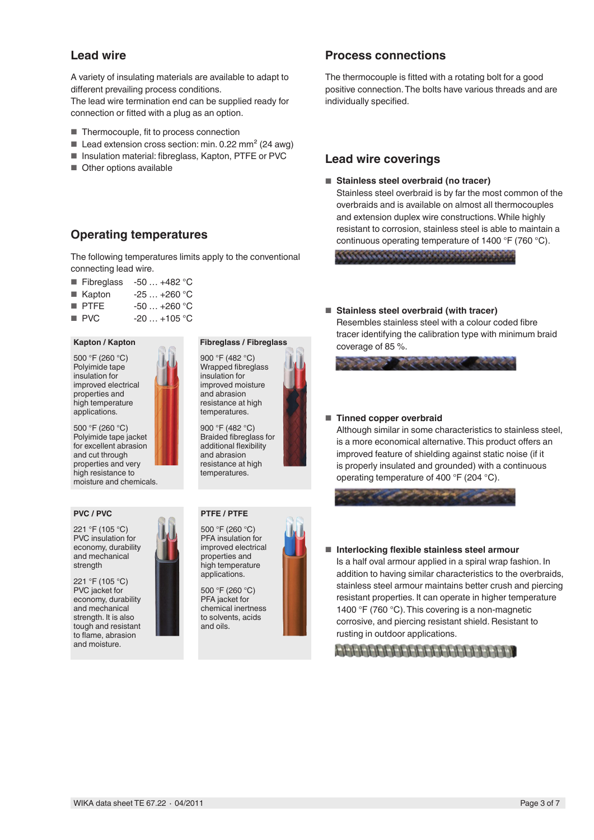# **Lead wire**

A variety of insulating materials are available to adapt to different prevailing process conditions.

The lead wire termination end can be supplied ready for connection or fitted with a plug as an option.

- Thermocouple, fit to process connection
- Lead extension cross section: min.  $0.22$  mm<sup>2</sup> (24 awg)
- Insulation material: fibreglass, Kapton, PTFE or PVC
- Other options available

# **Operating temperatures**

The following temperatures limits apply to the conventional connecting lead wire.

- Fibreglass  $-50$  ...  $+482$  °C
- Kapton  $-25...+260$  °C
- PTFE -50 ... +260 °C
- $\blacksquare$  PVC  $\blacksquare$  -20  $\ldots$  +105 °C

#### **Kapton / Kapton**

500 °F (260 °C) Polyimide tape insulation for improved electrical properties and high temperature applications.

500 °F (260 °C) Polyimide tape jacket for excellent abrasion and cut through properties and very high resistance to moisture and chemicals.

### **PVC / PVC**

221 °F (105 °C) PVC insulation for economy, durability and mechanical strength

221 °F (105 °C) PVC jacket for economy, durability and mechanical strength. It is also tough and resistant to flame, abrasion and moisture.

## **Fibreglass / Fibreglass**

900 °F (482 °C) Wrapped fibreglass insulation for improved moisture and abrasion resistance at high temperatures.

900 °F (482 °C) Braided fibreglass for additional flexibility and abrasion resistance at high temperatures.

## **PTFE / PTFE**



500 °F (260 °C) PFA jacket for chemical inertness to solvents, acids and oils.

## **Process connections**

The thermocouple is fitted with a rotating bolt for a good positive connection.The bolts have various threads and are individually specified.

## **Lead wire coverings**

#### ■ **Stainless steel overbraid (no tracer)**

Stainless steel overbraid is by far the most common of the overbraids and is available on almost all thermocouples and extension duplex wire constructions.While highly resistant to corrosion, stainless steel is able to maintain a continuous operating temperature of 1400 °F (760 °C).

\*\*\*\*\*\*\*\*\*\*\*\*\*\*\*\*\*

#### ■ **Stainless steel overbraid (with tracer)**

Resembles stainless steel with a colour coded fibre tracer identifying the calibration type with minimum braid coverage of 85 %.



#### ■ **Tinned copper overbraid**

Although similar in some characteristics to stainless steel, is a more economical alternative.This product offers an improved feature of shielding against static noise (if it is properly insulated and grounded) with a continuous operating temperature of 400 °F (204 °C).



■ **Interlocking flexible stainless steel armour** Is a half oval armour applied in a spiral wrap fashion. In addition to having similar characteristics to the overbraids, stainless steel armour maintains better crush and piercing resistant properties. It can operate in higher temperature 1400 °F (760 °C). This covering is a non-magnetic corrosive, and piercing resistant shield. Resistant to rusting in outdoor applications.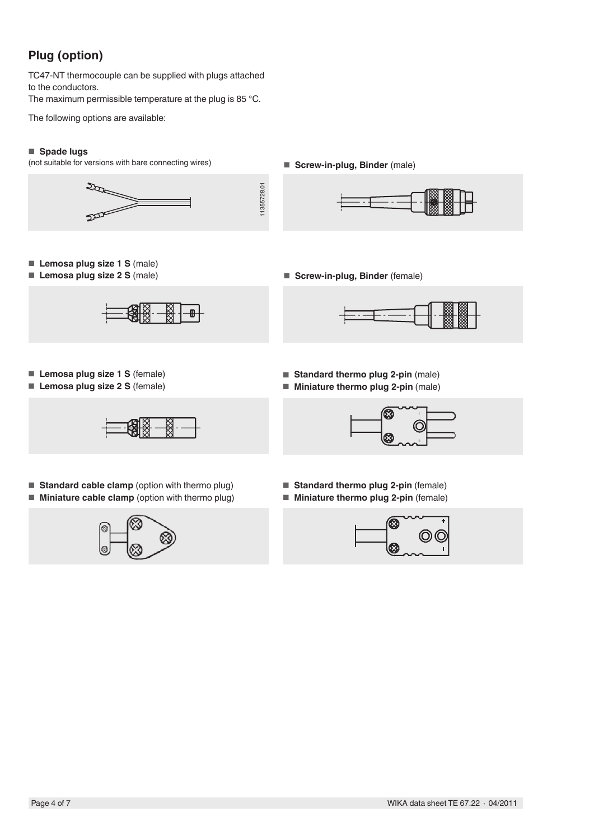# **Plug (option)**

TC47-NT thermocouple can be supplied with plugs attached to the conductors.

The maximum permissible temperature at the plug is 85 °C.

The following options are available:

## ■ **Spade lugs**

(not suitable for versions with bare connecting wires)

■ **Screw-in-plug, Binder** (male)







- **Lemosa plug size 1 S** (male)
- **Lemosa plug size 2 S** (male)



■ **Screw-in-plug, Binder** (female)



- **Lemosa plug size 1 S** (female)
- **Lemosa plug size 2 S** (female)



- **Standard cable clamp** (option with thermo plug)
- **Miniature cable clamp** (option with thermo plug)



- **Standard thermo plug 2-pin** (male)
- **Miniature thermo plug 2-pin** (male)



- **Standard thermo plug 2-pin** (female)
- **Miniature thermo plug 2-pin** (female)

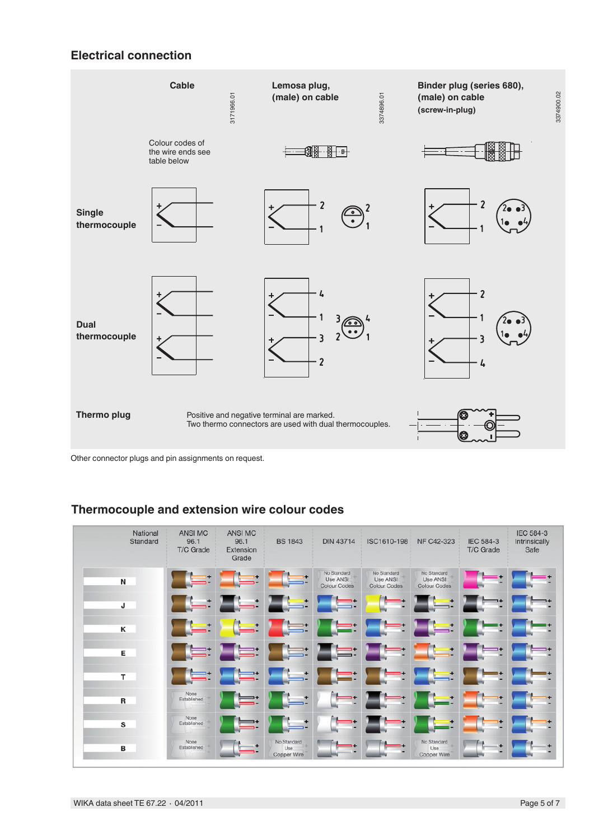# **Electrical connection**



Other connector plugs and pin assignments on request.

# **Thermocouple and extension wire colour codes**

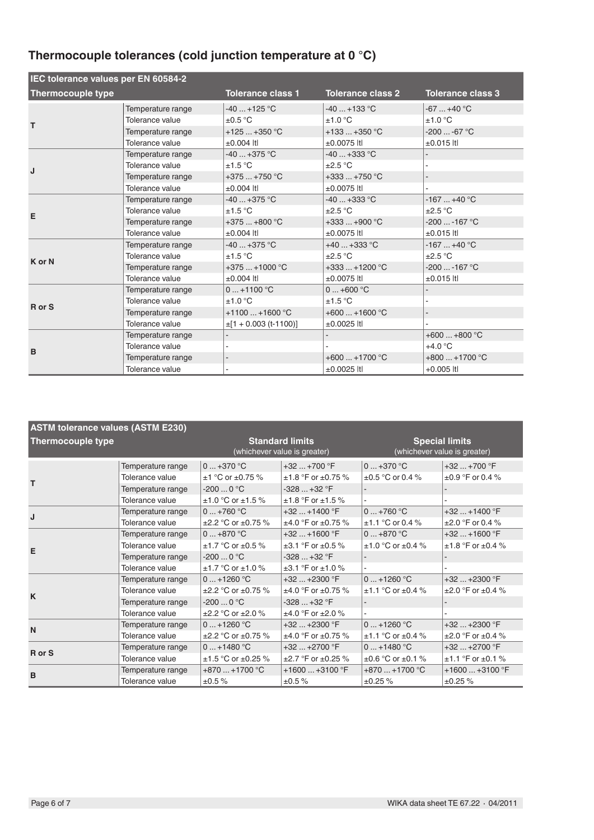# **Thermocouple tolerances (cold junction temperature at 0 °C)**

| IEC tolerance values per EN 60584-2 |                                                                                                 |                                                                             |                                                                                 |                                                                     |
|-------------------------------------|-------------------------------------------------------------------------------------------------|-----------------------------------------------------------------------------|---------------------------------------------------------------------------------|---------------------------------------------------------------------|
| <b>Thermocouple type</b>            |                                                                                                 | <b>Tolerance class 1</b>                                                    | <b>Tolerance class 2</b>                                                        | <b>Tolerance class 3</b>                                            |
| т                                   | Temperature range<br>Tolerance value<br>Temperature range                                       | $-40+125$ °C<br>$\pm 0.5$ °C<br>$+125+350$ °C                               | $-40+133$ °C<br>±1.0 °C<br>$+133+350$ °C                                        | $-67+40 °C$<br>±1.0 °C<br>$-200 -67 °C$                             |
| J                                   | Tolerance value<br>Temperature range<br>Tolerance value<br>Temperature range<br>Tolerance value | $±0.004$ Itl<br>$-40+375$ °C<br>±1.5 °C<br>$+375+750$ °C<br>$\pm 0.004$ Itl | $±0.0075$ Itl<br>-40  +333 °C<br>$\pm 2.5$ °C<br>$+333+750$ °C<br>$±0.0075$ Itl | $\pm 0.015$ Itl<br>$\overline{\phantom{0}}$                         |
| E                                   | Temperature range<br>Tolerance value<br>Temperature range<br>Tolerance value                    | $-40$ $+375$ °C<br>±1.5 °C<br>$+375+800$ °C<br>$±0.004$ Itl                 | -40  +333 °C<br>$\pm 2.5$ °C<br>$+333+900$ °C<br>$±0.0075$ Itl                  | $-167+40 °C$<br>$\pm 2.5$ °C<br>$-200$ $-167$ °C<br>$\pm 0.015$ Itl |
| K or N                              | Temperature range<br>Tolerance value<br>Temperature range<br>Tolerance value                    | $-40+375$ °C<br>±1.5 °C<br>$+375+1000$ °C<br>$±0.004$ Itl                   | $+40+333$ °C<br>$\pm 2.5$ °C<br>+333  +1200 °C<br>$±0.0075$ Itl                 | $-167+40 °C$<br>$\pm 2.5$ °C<br>$-200$ $-167$ °C<br>$\pm 0.015$ Itl |
| R or S                              | Temperature range<br>Tolerance value<br>Temperature range<br>Tolerance value                    | $0+1100 °C$<br>±1.0 °C<br>$+1100+1600$ °C<br>$\pm$ [1 + 0.003 (t-1100)]     | $0+600 °C$<br>±1.5 °C<br>$+600+1600$ °C<br>$±0.0025$ Itl                        | ä,<br>$\overline{\phantom{a}}$                                      |
| B                                   | Temperature range<br>Tolerance value<br>Temperature range<br>Tolerance value                    |                                                                             | $+600+1700$ °C<br>±0.0025 ltl                                                   | $+600+800$ °C<br>$+4.0 °C$<br>$+800+1700$ °C<br>$+0.005$ Itl        |

| <b>ASTM tolerance values (ASTM E230)</b> |                   |                                                        |                              |                                                       |                             |
|------------------------------------------|-------------------|--------------------------------------------------------|------------------------------|-------------------------------------------------------|-----------------------------|
| <b>Thermocouple type</b>                 |                   | <b>Standard limits</b><br>(whichever value is greater) |                              | <b>Special limits</b><br>(whichever value is greater) |                             |
|                                          | Temperature range | $0+370$ °C                                             | $+32$ $+700$ °F              | $0 \dots +370$ °C                                     | $+32+700$ °F                |
| T                                        | Tolerance value   | $±1$ °C or $±0.75$ %                                   | $±1.8$ °F or $±0.75$ %       | $\pm 0.5$ °C or 0.4 %                                 | $\pm 0.9$ °F or 0.4 %       |
|                                          | Temperature range | $-2000$ °C                                             | $-328+32$ °F                 |                                                       |                             |
|                                          | Tolerance value   | $±1.0 °C$ or $±1.5 %$                                  | $±1.8 °F$ or $±1.5 %$        |                                                       |                             |
| J                                        | Temperature range | $0+760$ °C                                             | $+32$ $+1400$ °F             | $0+760$ °C                                            | $+32+1400$ °F               |
|                                          | Tolerance value   | $\pm 2.2$ °C or $\pm 0.75$ %                           | $±4.0$ °F or $±0.75$ %       | $±1.1 °C$ or 0.4 %                                    | $\pm 2.0$ °F or 0.4 %       |
|                                          | Temperature range | $0+870$ °C                                             | $+32$ $+1600$ °F             | $0+870$ °C                                            | $+32+1600$ °F               |
| E                                        | Tolerance value   | $±1.7 °C$ or $±0.5 %$                                  | $\pm 3.1$ °F or $\pm 0.5$ %  | $±1.0 °C$ or $±0.4 %$                                 | $±1.8 °F$ or $±0.4 %$       |
|                                          | Temperature range | $-2000$ °C                                             | $-328+32$ °F                 |                                                       |                             |
|                                          | Tolerance value   | $±1.7 °C$ or $±1.0 %$                                  | $±3.1$ °F or $±1.0$ %        |                                                       |                             |
|                                          | Temperature range | $0+1260$ °C                                            | $+32$ $+2300$ °F             | $0+1260$ °C                                           | $+32$ $+2300$ °F            |
| K                                        | Tolerance value   | $\pm 2.2$ °C or $\pm 0.75$ %                           | $±4.0$ °F or $±0.75$ %       | $±1.1$ °C or $±0.4$ %                                 | $\pm 2.0$ °F or $\pm 0.4$ % |
|                                          | Temperature range | $-2000$ °C                                             | $-328+32$ °F                 |                                                       |                             |
|                                          | Tolerance value   | $\pm 2.2$ °C or $\pm 2.0$ %                            | $±4.0 °F$ or $±2.0 %$        |                                                       |                             |
| $\mathsf{N}$                             | Temperature range | $0+1260 °C$                                            | $+32$ $+2300$ °F             | $0+1260$ °C                                           | $+32+2300$ °F               |
|                                          | Tolerance value   | $\pm 2.2$ °C or $\pm 0.75$ %                           | $±4.0$ °F or $±0.75$ %       | $±1.1$ °C or $±0.4$ %                                 | $\pm 2.0$ °F or $\pm 0.4$ % |
| R or S                                   | Temperature range | $0+1480 °C$                                            | $+32+2700$ °F                | $0+1480 °C$                                           | $+32+2700$ °F               |
|                                          | Tolerance value   | $\pm$ 1.5 °C or $\pm$ 0.25 %                           | $\pm 2.7$ °F or $\pm 0.25$ % | $\pm 0.6$ °C or $\pm 0.1$ %                           | $±1.1$ °F or $±0.1$ %       |
| B                                        | Temperature range | $+870+1700$ °C                                         | $+1600+3100$ °F              | $+870+1700$ °C                                        | $+1600+3100$ °F             |
|                                          | Tolerance value   | ±0.5%                                                  | ±0.5%                        | ±0.25%                                                | ±0.25%                      |